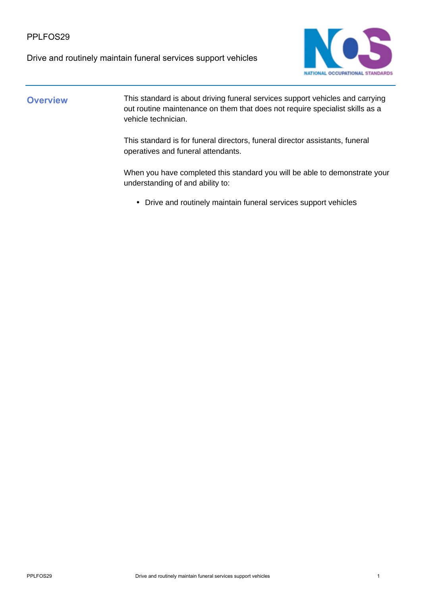#### PPLFOS29

Drive and routinely maintain funeral services support vehicles



#### **Overview** This standard is about driving funeral services support vehicles and carrying out routine maintenance on them that does not require specialist skills as a vehicle technician.

This standard is for funeral directors, funeral director assistants, funeral operatives and funeral attendants.

When you have completed this standard you will be able to demonstrate your understanding of and ability to:

• Drive and routinely maintain funeral services support vehicles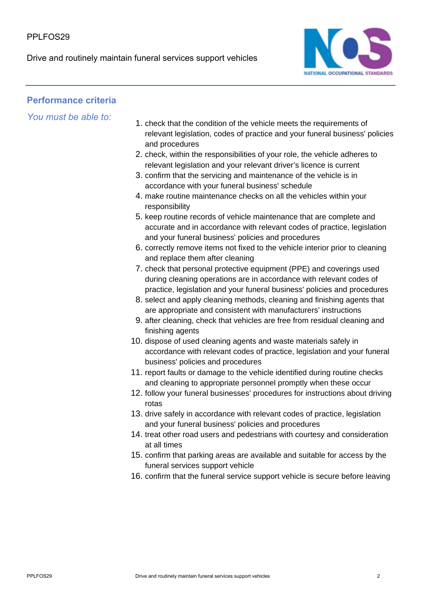Drive and routinely maintain funeral services support vehicles



## **Performance criteria**

*You must be able to:*

- 1. check that the condition of the vehicle meets the requirements of relevant legislation, codes of practice and your funeral business' policies and procedures
- 2. check, within the responsibilities of your role, the vehicle adheres to relevant legislation and your relevant driver's licence is current
- 3. confirm that the servicing and maintenance of the vehicle is in accordance with your funeral business' schedule
- 4. make routine maintenance checks on all the vehicles within your responsibility
- 5. keep routine records of vehicle maintenance that are complete and accurate and in accordance with relevant codes of practice, legislation and your funeral business' policies and procedures
- 6. correctly remove items not fixed to the vehicle interior prior to cleaning and replace them after cleaning
- 7. check that personal protective equipment (PPE) and coverings used during cleaning operations are in accordance with relevant codes of practice, legislation and your funeral business' policies and procedures
- 8. select and apply cleaning methods, cleaning and finishing agents that are appropriate and consistent with manufacturers' instructions
- 9. after cleaning, check that vehicles are free from residual cleaning and finishing agents
- 10. dispose of used cleaning agents and waste materials safely in accordance with relevant codes of practice, legislation and your funeral business' policies and procedures
- 11. report faults or damage to the vehicle identified during routine checks and cleaning to appropriate personnel promptly when these occur
- 12. follow your funeral businesses' procedures for instructions about driving rotas
- 13. drive safely in accordance with relevant codes of practice, legislation and your funeral business' policies and procedures
- 14. treat other road users and pedestrians with courtesy and consideration at all times
- 15. confirm that parking areas are available and suitable for access by the funeral services support vehicle
- 16. confirm that the funeral service support vehicle is secure before leaving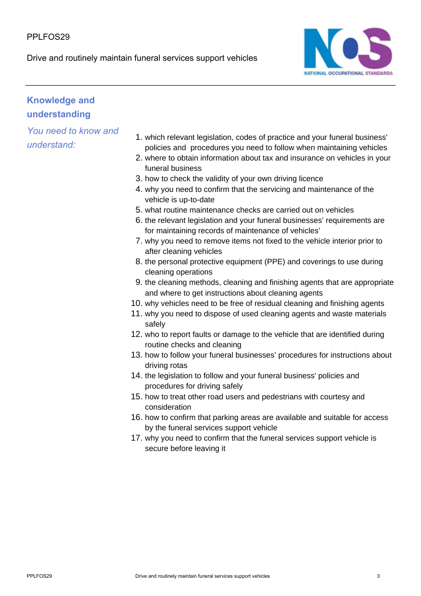#### PPI FOS<sub>29</sub>

Drive and routinely maintain funeral services support vehicles



# **Knowledge and understanding**

*You need to know and understand:*

- 1. which relevant legislation, codes of practice and your funeral business' policies and procedures you need to follow when maintaining vehicles
- 2. where to obtain information about tax and insurance on vehicles in your funeral business
- 3. how to check the validity of your own driving licence
- 4. why you need to confirm that the servicing and maintenance of the vehicle is up-to-date
- 5. what routine maintenance checks are carried out on vehicles
- 6. the relevant legislation and your funeral businesses' requirements are for maintaining records of maintenance of vehicles'
- 7. why you need to remove items not fixed to the vehicle interior prior to after cleaning vehicles
- 8. the personal protective equipment (PPE) and coverings to use during cleaning operations
- 9. the cleaning methods, cleaning and finishing agents that are appropriate and where to get instructions about cleaning agents
- 10. why vehicles need to be free of residual cleaning and finishing agents
- 11. why you need to dispose of used cleaning agents and waste materials safely
- 12. who to report faults or damage to the vehicle that are identified during routine checks and cleaning
- 13. how to follow your funeral businesses' procedures for instructions about driving rotas
- 14. the legislation to follow and your funeral business' policies and procedures for driving safely
- 15. how to treat other road users and pedestrians with courtesy and consideration
- 16. how to confirm that parking areas are available and suitable for access by the funeral services support vehicle
- 17. why you need to confirm that the funeral services support vehicle is secure before leaving it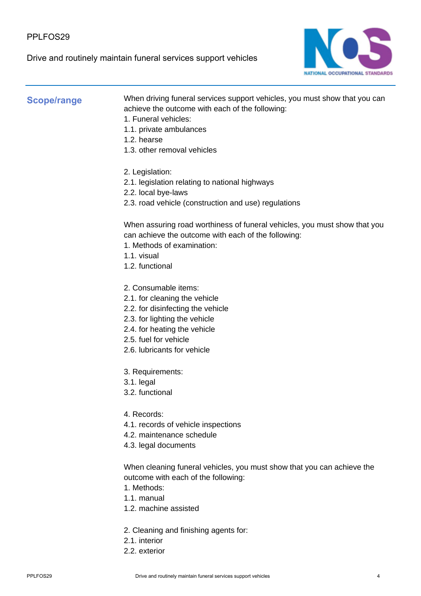#### PPLFOS29

Drive and routinely maintain funeral services support vehicles



#### **Scope/range**

When driving funeral services support vehicles, you must show that you can achieve the outcome with each of the following:

- 1. Funeral vehicles:
- 1.1. private ambulances
- 1.2. hearse
- 1.3. other removal vehicles
- 2. Legislation:
- 2.1. legislation relating to national highways
- 2.2. local bye-laws
- 2.3. road vehicle (construction and use) regulations

When assuring road worthiness of funeral vehicles, you must show that you can achieve the outcome with each of the following:

- 1. Methods of examination:
- 1.1. visual
- 1.2. functional
- 2. Consumable items:
- 2.1. for cleaning the vehicle
- 2.2. for disinfecting the vehicle
- 2.3. for lighting the vehicle
- 2.4. for heating the vehicle
- 2.5. fuel for vehicle
- 2.6. lubricants for vehicle
- 3. Requirements:
- 3.1. legal
- 3.2. functional
- 4. Records:
- 4.1. records of vehicle inspections
- 4.2. maintenance schedule
- 4.3. legal documents

When cleaning funeral vehicles, you must show that you can achieve the outcome with each of the following:

- 1. Methods:
- 1.1. manual
- 1.2. machine assisted
- 2. Cleaning and finishing agents for:
- 2.1. interior
- 2.2. exterior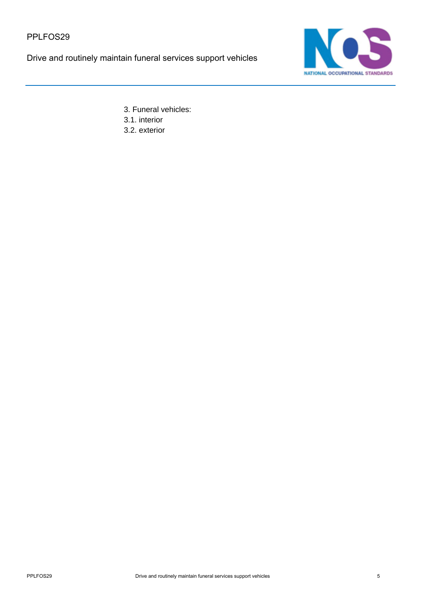Drive and routinely maintain funeral services support vehicles



3. Funeral vehicles: 3.1. interior

3.2. exterior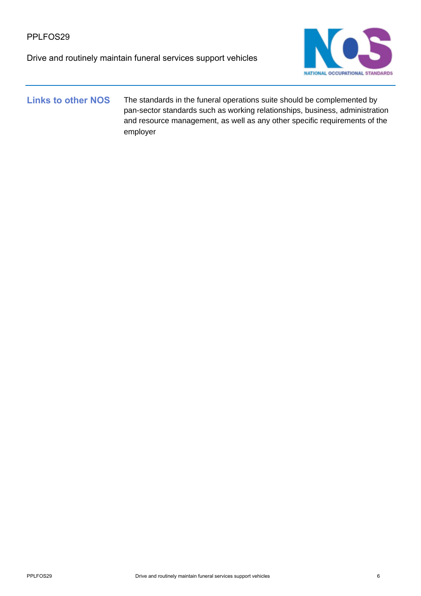Drive and routinely maintain funeral services support vehicles



### Links to other NOS The standards in the funeral operations suite should be complemented by pan-sector standards such as working relationships, business, administration and resource management, as well as any other specific requirements of the employer